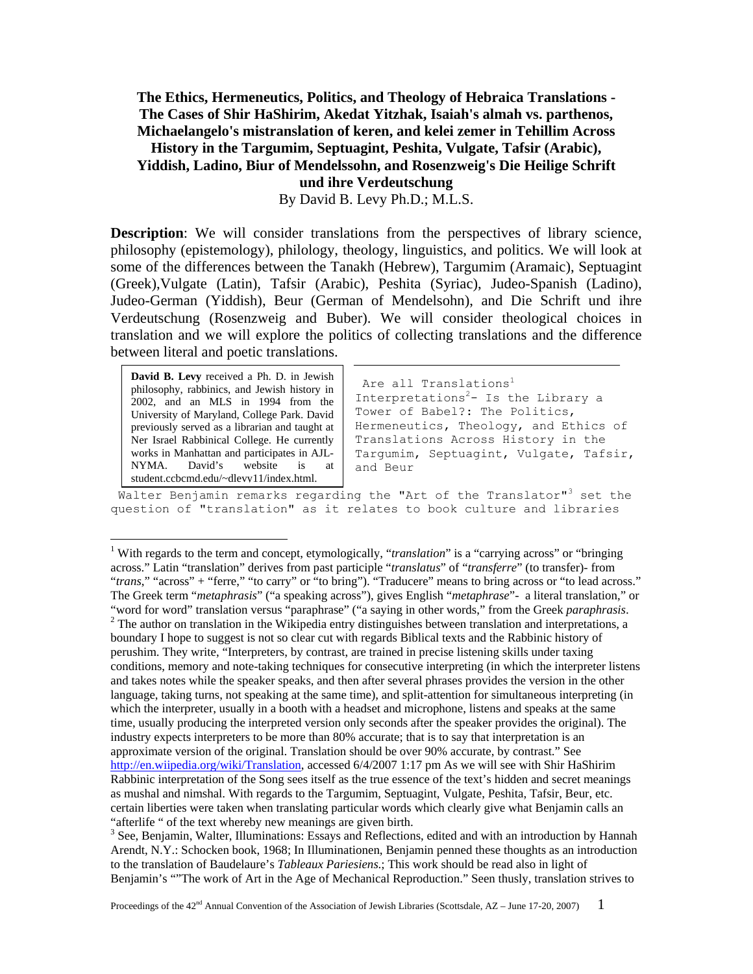**The Ethics, Hermeneutics, Politics, and Theology of Hebraica Translations - The Cases of Shir HaShirim, Akedat Yitzhak, Isaiah's almah vs. parthenos, Michaelangelo's mistranslation of keren, and kelei zemer in Tehillim Across** 

## **History in the Targumim, Septuagint, Peshita, Vulgate, Tafsir (Arabic), Yiddish, Ladino, Biur of Mendelssohn, and Rosenzweig's Die Heilige Schrift**

**und ihre Verdeutschung** 

By David B. Levy Ph.D.; M.L.S.

**Description**: We will consider translations from the perspectives of library science, philosophy (epistemology), philology, theology, linguistics, and politics. We will look at some of the differences between the Tanakh (Hebrew), Targumim (Aramaic), Septuagint (Greek),Vulgate (Latin), Tafsir (Arabic), Peshita (Syriac), Judeo-Spanish (Ladino), Judeo-German (Yiddish), Beur (German of Mendelsohn), and Die Schrift und ihre Verdeutschung (Rosenzweig and Buber). We will consider theological choices in translation and we will explore the politics of collecting translations and the difference between literal and poetic translations.

**David B. Levy** received a Ph. D. in Jewish philosophy, rabbinics, and Jewish history in 2002, and an MLS in 1994 from the University of Maryland, College Park. David previously served as a librarian and taught at Ner Israel Rabbinical College. He currently works in Manhattan and participates in AJL-<br>NYMA. David's website is at NYMA. David's website is at student.ccbcmd.edu/~dlevy11/index.html.

 $\overline{a}$ 

Are all Translations<sup>1</sup> Interpretations<sup>2</sup>- Is the Library a Tower of Babel?: The Politics, Hermeneutics, Theology, and Ethics of Translations Across History in the Targumim, Septuagint, Vulgate, Tafsir, and Beur

Walter Benjamin remarks regarding the "Art of the Translator"<sup>3</sup> set the question of "translation" as it relates to book culture and libraries

<sup>&</sup>lt;sup>1</sup> With regards to the term and concept, etymologically, "*translation*" is a "carrying across" or "bringing across." Latin "translation" derives from past participle "*translatus*" of "*transferre*" (to transfer)- from "*trans*," "across" + "ferre," "to carry" or "to bring"). "Traducere" means to bring across or "to lead across." The Greek term "*metaphrasis*" ("a speaking across"), gives English "*metaphrase*"- a literal translation," or "word for word" translation versus "paraphrase" ("a saying in other words," from the Greek *paraphrasis*. 2  $2$  The author on translation in the Wikipedia entry distinguishes between translation and interpretations, a boundary I hope to suggest is not so clear cut with regards Biblical texts and the Rabbinic history of perushim. They write, "Interpreters, by contrast, are trained in precise listening skills under taxing conditions, memory and note-taking techniques for consecutive interpreting (in which the interpreter listens and takes notes while the speaker speaks, and then after several phrases provides the version in the other language, taking turns, not speaking at the same time), and split-attention for simultaneous interpreting (in which the interpreter, usually in a booth with a headset and microphone, listens and speaks at the same time, usually producing the interpreted version only seconds after the speaker provides the original). The industry expects interpreters to be more than 80% accurate; that is to say that interpretation is an approximate version of the original. Translation should be over 90% accurate, by contrast." See http://en.wiipedia.org/wiki/Translation, accessed 6/4/2007 1:17 pm As we will see with Shir HaShirim Rabbinic interpretation of the Song sees itself as the true essence of the text's hidden and secret meanings as mushal and nimshal. With regards to the Targumim, Septuagint, Vulgate, Peshita, Tafsir, Beur, etc. certain liberties were taken when translating particular words which clearly give what Benjamin calls an "afterlife " of the text whereby new meanings are given birth.

<sup>&</sup>lt;sup>3</sup> See, Benjamin, Walter, Illuminations: Essays and Reflections, edited and with an introduction by Hannah Arendt, N.Y.: Schocken book, 1968; In Illuminationen, Benjamin penned these thoughts as an introduction to the translation of Baudelaure's *Tableaux Pariesiens*.; This work should be read also in light of Benjamin's ""The work of Art in the Age of Mechanical Reproduction." Seen thusly, translation strives to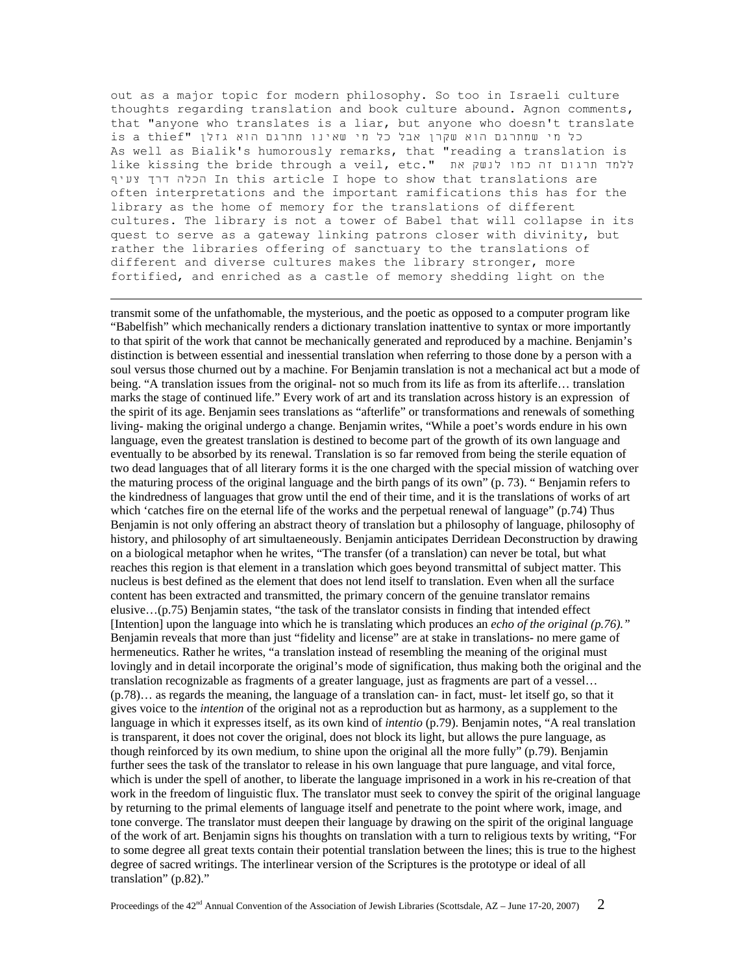out as a major topic for modern philosophy. So too in Israeli culture thoughts regarding translation and book culture abound. Agnon comments, that "anyone who translates is a liar, but anyone who doesn't translate כל מי שמתרגם הוא שקרן אבל כל מי שאינו מתרגם הוא גזלן "is a thief As well as Bialik's humorously remarks, that "reading a translation is like kissing the bride through a veil, etc." את לנשק את לנשק את צעיף דרך הכלה In this article I hope to show that translations are often interpretations and the important ramifications this has for the library as the home of memory for the translations of different cultures. The library is not a tower of Babel that will collapse in its quest to serve as a gateway linking patrons closer with divinity, but rather the libraries offering of sanctuary to the translations of different and diverse cultures makes the library stronger, more fortified, and enriched as a castle of memory shedding light on the

 transmit some of the unfathomable, the mysterious, and the poetic as opposed to a computer program like "Babelfish" which mechanically renders a dictionary translation inattentive to syntax or more importantly to that spirit of the work that cannot be mechanically generated and reproduced by a machine. Benjamin's distinction is between essential and inessential translation when referring to those done by a person with a soul versus those churned out by a machine. For Benjamin translation is not a mechanical act but a mode of being. "A translation issues from the original- not so much from its life as from its afterlife… translation marks the stage of continued life." Every work of art and its translation across history is an expression of the spirit of its age. Benjamin sees translations as "afterlife" or transformations and renewals of something living- making the original undergo a change. Benjamin writes, "While a poet's words endure in his own language, even the greatest translation is destined to become part of the growth of its own language and eventually to be absorbed by its renewal. Translation is so far removed from being the sterile equation of two dead languages that of all literary forms it is the one charged with the special mission of watching over the maturing process of the original language and the birth pangs of its own" (p. 73). " Benjamin refers to the kindredness of languages that grow until the end of their time, and it is the translations of works of art which 'catches fire on the eternal life of the works and the perpetual renewal of language" (p.74) Thus Benjamin is not only offering an abstract theory of translation but a philosophy of language, philosophy of history, and philosophy of art simultaeneously. Benjamin anticipates Derridean Deconstruction by drawing on a biological metaphor when he writes, "The transfer (of a translation) can never be total, but what reaches this region is that element in a translation which goes beyond transmittal of subject matter. This nucleus is best defined as the element that does not lend itself to translation. Even when all the surface content has been extracted and transmitted, the primary concern of the genuine translator remains elusive…(p.75) Benjamin states, "the task of the translator consists in finding that intended effect [Intention] upon the language into which he is translating which produces an *echo of the original (p.76)."*  Benjamin reveals that more than just "fidelity and license" are at stake in translations- no mere game of hermeneutics. Rather he writes, "a translation instead of resembling the meaning of the original must lovingly and in detail incorporate the original's mode of signification, thus making both the original and the translation recognizable as fragments of a greater language, just as fragments are part of a vessel… (p.78)… as regards the meaning, the language of a translation can- in fact, must- let itself go, so that it gives voice to the *intention* of the original not as a reproduction but as harmony, as a supplement to the language in which it expresses itself, as its own kind of *intentio* (p.79). Benjamin notes, "A real translation is transparent, it does not cover the original, does not block its light, but allows the pure language, as though reinforced by its own medium, to shine upon the original all the more fully" (p.79). Benjamin further sees the task of the translator to release in his own language that pure language, and vital force, which is under the spell of another, to liberate the language imprisoned in a work in his re-creation of that work in the freedom of linguistic flux. The translator must seek to convey the spirit of the original language by returning to the primal elements of language itself and penetrate to the point where work, image, and tone converge. The translator must deepen their language by drawing on the spirit of the original language of the work of art. Benjamin signs his thoughts on translation with a turn to religious texts by writing, "For to some degree all great texts contain their potential translation between the lines; this is true to the highest degree of sacred writings. The interlinear version of the Scriptures is the prototype or ideal of all translation" (p.82)."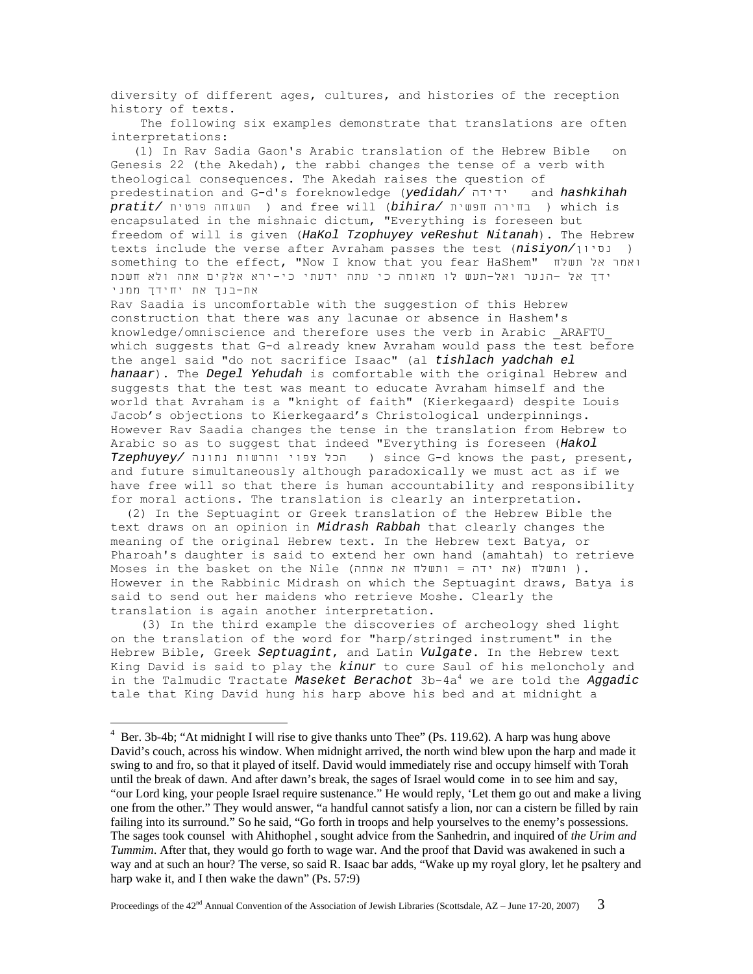diversity of different ages, cultures, and histories of the reception history of texts.

 The following six examples demonstrate that translations are often interpretations:

 (1) In Rav Sadia Gaon's Arabic translation of the Hebrew Bible on Genesis 22 (the Akedah), the rabbi changes the tense of a verb with theological consequences. The Akedah raises the question of predestination and G-d's foreknowledge (*yedidah/* ידידהand *hashkihah pratit/* פרטית השגחה (and free will (*bihira/* חפשית בחירה (which is encapsulated in the mishnaic dictum, "Everything is foreseen but freedom of will is given (*HaKol Tzophuyey veReshut Nitanah*). The Hebrew texts include the verse after Avraham passes the test (*nisiyon/*נסיון ( something to the effect, "Now I know that you fear HaShem" תשלח אל ואמר ידך אל –הנער ואל-תעש לו מאומה כי עתה ידעתי כי-ירא אלקים אתה ולא חשכת את-בנך את יחידך ממני

Rav Saadia is uncomfortable with the suggestion of this Hebrew construction that there was any lacunae or absence in Hashem's knowledge/omniscience and therefore uses the verb in Arabic \_ARAFTU\_ which suggests that G-d already knew Avraham would pass the test before the angel said "do not sacrifice Isaac" (al *tishlach yadchah el hanaar*). The *Degel Yehudah* is comfortable with the original Hebrew and suggests that the test was meant to educate Avraham himself and the world that Avraham is a "knight of faith" (Kierkegaard) despite Louis Jacob's objections to Kierkegaard's Christological underpinnings. However Rav Saadia changes the tense in the translation from Hebrew to Arabic so as to suggest that indeed "Everything is foreseen (*Hakol Tzephuyey/* נתונה והרשות צפוי הכל (since G-d knows the past, present, and future simultaneously although paradoxically we must act as if we have free will so that there is human accountability and responsibility for moral actions. The translation is clearly an interpretation.

 (2) In the Septuagint or Greek translation of the Hebrew Bible the text draws on an opinion in *Midrash Rabbah* that clearly changes the meaning of the original Hebrew text. In the Hebrew text Batya, or Pharoah's daughter is said to extend her own hand (amahtah) to retrieve Moses in the basket on the Nile (את ידה = ותשלח את אמתה). However in the Rabbinic Midrash on which the Septuagint draws, Batya is said to send out her maidens who retrieve Moshe. Clearly the translation is again another interpretation.

 (3) In the third example the discoveries of archeology shed light on the translation of the word for "harp/stringed instrument" in the Hebrew Bible, Greek *Septuagint*, and Latin *Vulgate*. In the Hebrew text King David is said to play the *kinur* to cure Saul of his meloncholy and in the Talmudic Tractate Maseket Berachot 3b-4a<sup>4</sup> we are told the Aggadic tale that King David hung his harp above his bed and at midnight a

<sup>&</sup>lt;sup>4</sup> Ber. 3b-4b; "At midnight I will rise to give thanks unto Thee" (Ps. 119.62). A harp was hung above David's couch, across his window. When midnight arrived, the north wind blew upon the harp and made it swing to and fro, so that it played of itself. David would immediately rise and occupy himself with Torah until the break of dawn. And after dawn's break, the sages of Israel would come in to see him and say, "our Lord king, your people Israel require sustenance." He would reply, 'Let them go out and make a living one from the other." They would answer, "a handful cannot satisfy a lion, nor can a cistern be filled by rain failing into its surround." So he said, "Go forth in troops and help yourselves to the enemy's possessions. The sages took counsel with Ahithophel , sought advice from the Sanhedrin, and inquired of *the Urim and Tummim*. After that, they would go forth to wage war. And the proof that David was awakened in such a way and at such an hour? The verse, so said R. Isaac bar adds, "Wake up my royal glory, let he psaltery and harp wake it, and I then wake the dawn" (Ps. 57:9)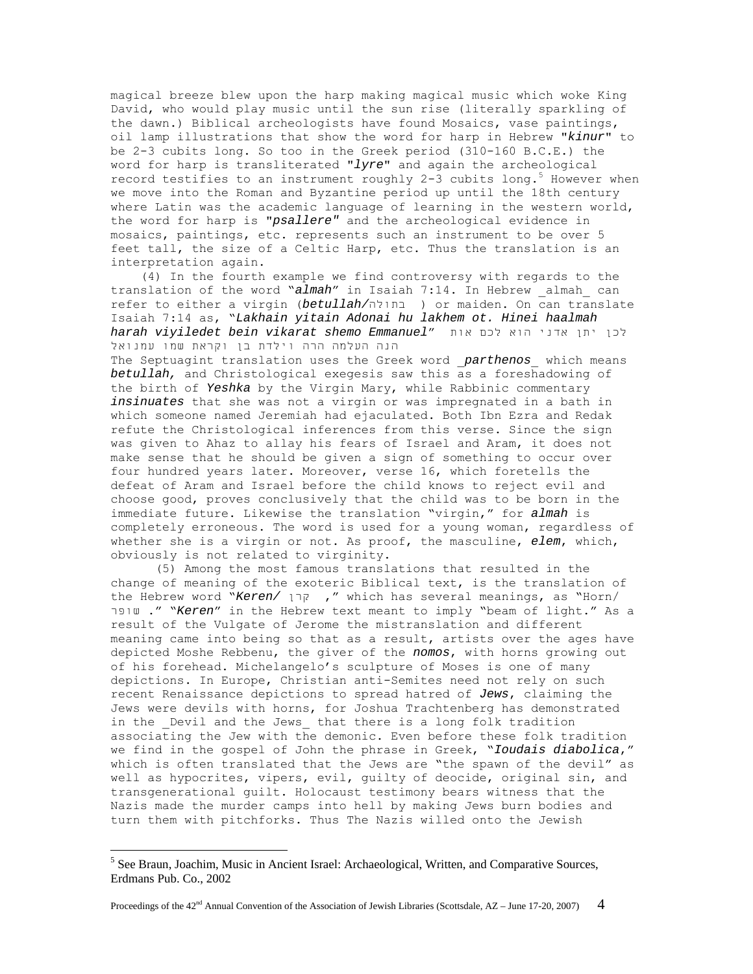magical breeze blew upon the harp making magical music which woke King David, who would play music until the sun rise (literally sparkling of the dawn.) Biblical archeologists have found Mosaics, vase paintings, oil lamp illustrations that show the word for harp in Hebrew "*kinur*" to be 2-3 cubits long. So too in the Greek period (310-160 B.C.E.) the word for harp is transliterated "*lyre*" and again the archeological record testifies to an instrument roughly 2-3 cubits long.<sup>5</sup> However when we move into the Roman and Byzantine period up until the 18th century where Latin was the academic language of learning in the western world, the word for harp is "*psallere"* and the archeological evidence in mosaics, paintings, etc. represents such an instrument to be over 5 feet tall, the size of a Celtic Harp, etc. Thus the translation is an interpretation again.

 (4) In the fourth example we find controversy with regards to the translation of the word "*almah*" in Isaiah 7:14. In Hebrew \_almah\_ can refer to either a virgin (*betullah/*בתולה (or maiden. On can translate Isaiah 7:14 as, "*Lakhain yitain Adonai hu lakhem ot. Hinei haalmah*  לכן יתן אדני הוא לכם אות "*Emmanuel shemo vikarat bein viyiledet harah* הנה העלמה הרה וילדת בן וקראת שמו עמנואל

The Septuagint translation uses the Greek word \_*parthenos*\_ which means *betullah,* and Christological exegesis saw this as a foreshadowing of the birth of *Yeshka* by the Virgin Mary, while Rabbinic commentary *insinuates* that she was not a virgin or was impregnated in a bath in which someone named Jeremiah had ejaculated. Both Ibn Ezra and Redak refute the Christological inferences from this verse. Since the sign was given to Ahaz to allay his fears of Israel and Aram, it does not make sense that he should be given a sign of something to occur over four hundred years later. Moreover, verse 16, which foretells the defeat of Aram and Israel before the child knows to reject evil and choose good, proves conclusively that the child was to be born in the immediate future. Likewise the translation "virgin," for *almah* is completely erroneous. The word is used for a young woman, regardless of whether she is a virgin or not. As proof, the masculine, *elem*, which, obviously is not related to virginity.

 (5) Among the most famous translations that resulted in the change of meaning of the exoteric Biblical text, is the translation of the Hebrew word "*Keren/* קרן, "which has several meanings, as "Horn/ שופר ." "*Keren*" in the Hebrew text meant to imply "beam of light." As a result of the Vulgate of Jerome the mistranslation and different meaning came into being so that as a result, artists over the ages have depicted Moshe Rebbenu, the giver of the *nomos*, with horns growing out of his forehead. Michelangelo's sculpture of Moses is one of many depictions. In Europe, Christian anti-Semites need not rely on such recent Renaissance depictions to spread hatred of *Jews*, claiming the Jews were devils with horns, for Joshua Trachtenberg has demonstrated in the Devil and the Jews that there is a long folk tradition associating the Jew with the demonic. Even before these folk tradition we find in the gospel of John the phrase in Greek, "*Ioudais diabolica*," which is often translated that the Jews are "the spawn of the devil" as well as hypocrites, vipers, evil, guilty of deocide, original sin, and transgenerational guilt. Holocaust testimony bears witness that the Nazis made the murder camps into hell by making Jews burn bodies and turn them with pitchforks. Thus The Nazis willed onto the Jewish

<sup>&</sup>lt;sup>5</sup> See Braun, Joachim, Music in Ancient Israel: Archaeological, Written, and Comparative Sources, Erdmans Pub. Co., 2002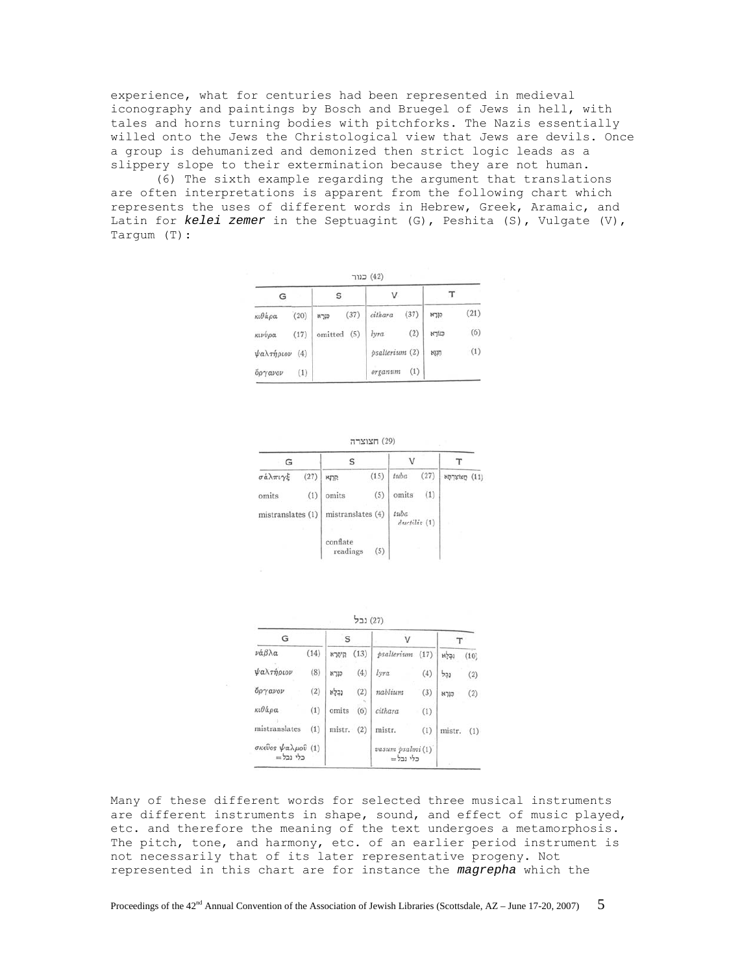experience, what for centuries had been represented in medieval iconography and paintings by Bosch and Bruegel of Jews in hell, with tales and horns turning bodies with pitchforks. The Nazis essentially willed onto the Jews the Christological view that Jews are devils. Once a group is dehumanized and demonized then strict logic leads as a slippery slope to their extermination because they are not human.

(6) The sixth example regarding the argument that translations are often interpretations is apparent from the following chart which represents the uses of different words in Hebrew, Greek, Aramaic, and Latin for *kelei zemer* in the Septuagint (G), Peshita (S), Vulgate (V), Targum (T):

| <b>SCO</b><br>(42) כנור |      |                |             |         |      |       |      |
|-------------------------|------|----------------|-------------|---------|------|-------|------|
| G                       |      | S              |             | v       |      | т     |      |
| κιθάρα                  | (20) | כורא           | (37)        | cithara | (37) | קורא  | (21) |
| κινύρα                  | (17) |                | omitted (5) | lyra    | (2)  | כנורא | (6)  |
| ψαλτήριον<br>(4)        |      | psalterium (2) |             | NUT     | (1)  |       |      |
| $\delta\rho\gamma$ avov | (1)  |                |             | organum | (1)  |       |      |

| 7721277(29) |  |
|-------------|--|
|             |  |

| G                 |      |                      |      | ν                    |      |                 |  |
|-------------------|------|----------------------|------|----------------------|------|-----------------|--|
| σάλπιγξ           | (27) | <b>MTP</b>           | (15) | tuba                 | (27) | חצוצרתא<br>(11) |  |
| omits             | (1)  | omits                | (5)  | omits                | (1)  |                 |  |
| mistranslates (1) |      | mistranslates (4)    |      | tuba<br>ductilis (1) |      |                 |  |
|                   |      | conflate<br>readings | (5)  |                      |      |                 |  |

| (27) נב |
|---------|
|         |

| G                             | S    |        |      |                              |      |        |      |
|-------------------------------|------|--------|------|------------------------------|------|--------|------|
| νάβλα                         | (14) | קיסרא  | (13) | psalterium                   | (17) | נכלא   | (10) |
| ψαλτήριον                     | (8)  | כנרא   | (4)  | lyra                         | (4)  | נכל    | (2)  |
| δργανον                       | (2)  | נבלא   | (2)  | nablium                      | (3)  | קורא   | (2)  |
| κιθάρα                        | (1)  | omits  | (6)  | cithara                      | (1)  |        |      |
| mistranslates                 | (1)  | mistr. | (2)  | mistr.                       | (1)  | mistr. | (1)  |
| σκεύος ψαλμού (1)<br>כלי נכל= |      |        |      | vasum psalmi (1)<br>כלי נכל= |      |        |      |

Many of these different words for selected three musical instruments are different instruments in shape, sound, and effect of music played, etc. and therefore the meaning of the text undergoes a metamorphosis. The pitch, tone, and harmony, etc. of an earlier period instrument is not necessarily that of its later representative progeny. Not represented in this chart are for instance the *magrepha* which the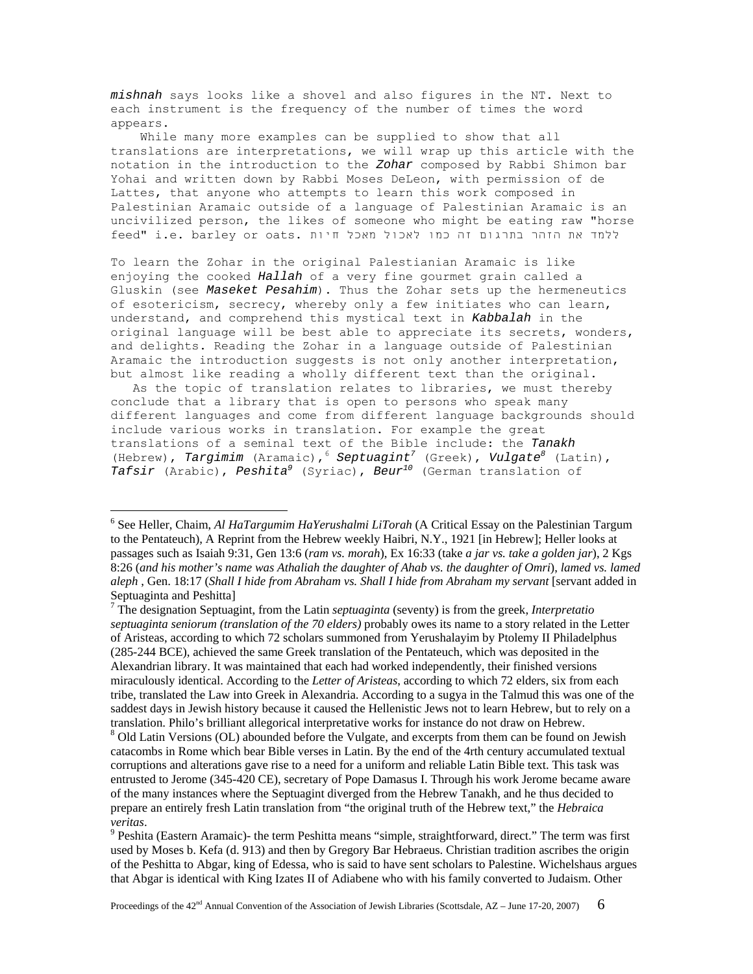*mishnah* says looks like a shovel and also figures in the NT. Next to each instrument is the frequency of the number of times the word appears.

 While many more examples can be supplied to show that all translations are interpretations, we will wrap up this article with the notation in the introduction to the *Zohar* composed by Rabbi Shimon bar Yohai and written down by Rabbi Moses DeLeon, with permission of de Lattes, that anyone who attempts to learn this work composed in Palestinian Aramaic outside of a language of Palestinian Aramaic is an uncivilized person, the likes of someone who might be eating raw "horse ללמד את הזהר בתרגום זה כמו לאכול מאכל חיות .e. barley or oats. למד

To learn the Zohar in the original Palestianian Aramaic is like enjoying the cooked *Hallah* of a very fine gourmet grain called a Gluskin (see *Maseket Pesahim*). Thus the Zohar sets up the hermeneutics of esotericism, secrecy, whereby only a few initiates who can learn, understand, and comprehend this mystical text in *Kabbalah* in the original language will be best able to appreciate its secrets, wonders, and delights. Reading the Zohar in a language outside of Palestinian Aramaic the introduction suggests is not only another interpretation, but almost like reading a wholly different text than the original.

 As the topic of translation relates to libraries, we must thereby conclude that a library that is open to persons who speak many different languages and come from different language backgrounds should include various works in translation. For example the great translations of a seminal text of the Bible include: the *Tanakh* (Hebrew), Targimim (Aramaic), <sup>6</sup> Septuagint<sup>7</sup> (Greek), Vulgate<sup>8</sup> (Latin), *Tafsir* (Arabic), *Peshita9* (Syriac), *Beur10* (German translation of

<sup>6</sup> See Heller, Chaim, *Al HaTargumim HaYerushalmi LiTorah* (A Critical Essay on the Palestinian Targum to the Pentateuch), A Reprint from the Hebrew weekly Haibri, N.Y., 1921 [in Hebrew]; Heller looks at passages such as Isaiah 9:31, Gen 13:6 (*ram vs. morah*), Ex 16:33 (take *a jar vs. take a golden jar*), 2 Kgs 8:26 (*and his mother's name was Athaliah the daughter of Ahab vs. the daughter of Omri*), *lamed vs. lamed aleph* , Gen. 18:17 (*Shall I hide from Abraham vs. Shall I hide from Abraham my servant* [servant added in Septuaginta and Peshitta]

<sup>7</sup> The designation Septuagint, from the Latin *septuaginta* (seventy) is from the greek, *Interpretatio septuaginta seniorum (translation of the 70 elders)* probably owes its name to a story related in the Letter of Aristeas, according to which 72 scholars summoned from Yerushalayim by Ptolemy II Philadelphus (285-244 BCE), achieved the same Greek translation of the Pentateuch, which was deposited in the Alexandrian library. It was maintained that each had worked independently, their finished versions miraculously identical. According to the *Letter of Aristeas*, according to which 72 elders, six from each tribe, translated the Law into Greek in Alexandria. According to a sugya in the Talmud this was one of the saddest days in Jewish history because it caused the Hellenistic Jews not to learn Hebrew, but to rely on a translation. Philo's brilliant allegorical interpretative works for instance do not draw on Hebrew. 8

<sup>&</sup>lt;sup>8</sup> Old Latin Versions (OL) abounded before the Vulgate, and excerpts from them can be found on Jewish catacombs in Rome which bear Bible verses in Latin. By the end of the 4rth century accumulated textual corruptions and alterations gave rise to a need for a uniform and reliable Latin Bible text. This task was entrusted to Jerome (345-420 CE), secretary of Pope Damasus I. Through his work Jerome became aware of the many instances where the Septuagint diverged from the Hebrew Tanakh, and he thus decided to prepare an entirely fresh Latin translation from "the original truth of the Hebrew text," the *Hebraica veritas*. 9

<sup>&</sup>lt;sup>9</sup> Peshita (Eastern Aramaic)- the term Peshitta means "simple, straightforward, direct." The term was first used by Moses b. Kefa (d. 913) and then by Gregory Bar Hebraeus. Christian tradition ascribes the origin of the Peshitta to Abgar, king of Edessa, who is said to have sent scholars to Palestine. Wichelshaus argues that Abgar is identical with King Izates II of Adiabene who with his family converted to Judaism. Other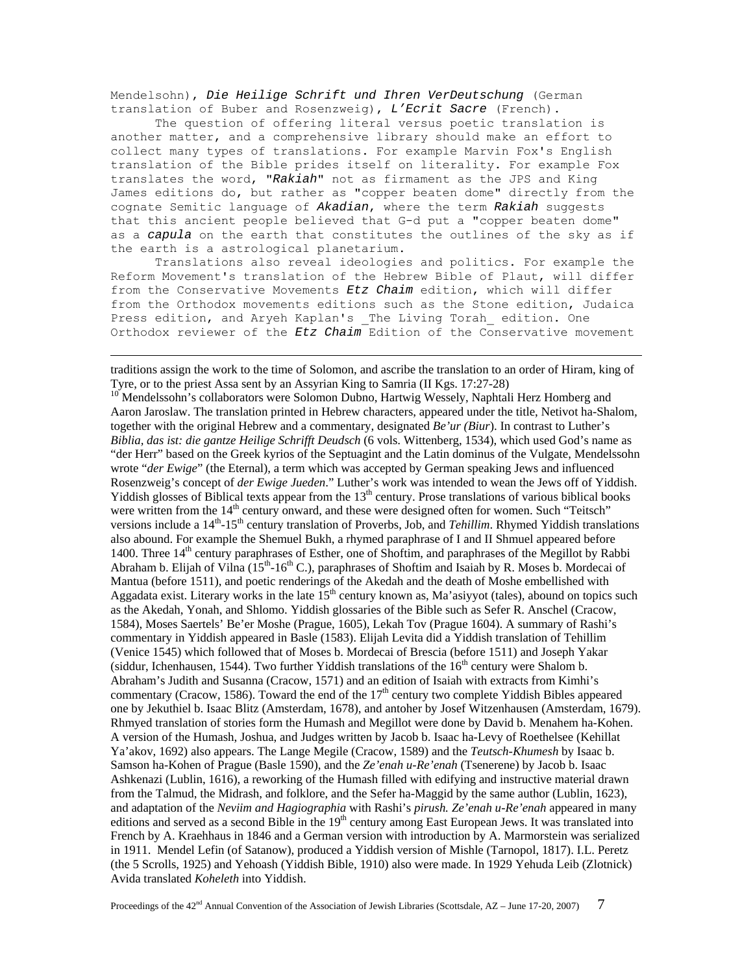Mendelsohn), *Die Heilige Schrift und Ihren VerDeutschung* (German translation of Buber and Rosenzweig), *L'Ecrit Sacre* (French).

 The question of offering literal versus poetic translation is another matter, and a comprehensive library should make an effort to collect many types of translations. For example Marvin Fox's English translation of the Bible prides itself on literality. For example Fox translates the word, "*Rakiah*" not as firmament as the JPS and King James editions do, but rather as "copper beaten dome" directly from the cognate Semitic language of *Akadian*, where the term *Rakiah* suggests that this ancient people believed that G-d put a "copper beaten dome" as a *capula* on the earth that constitutes the outlines of the sky as if the earth is a astrological planetarium.

 Translations also reveal ideologies and politics. For example the Reform Movement's translation of the Hebrew Bible of Plaut, will differ from the Conservative Movements *Etz Chaim* edition, which will differ from the Orthodox movements editions such as the Stone edition, Judaica Press edition, and Aryeh Kaplan's \_The Living Torah\_ edition. One Orthodox reviewer of the *Etz Chaim* Edition of the Conservative movement

 traditions assign the work to the time of Solomon, and ascribe the translation to an order of Hiram, king of Tyre, or to the priest Assa sent by an Assyrian King to Samria (II Kgs. 17:27-28)

<sup>10</sup> Mendelssohn's collaborators were Solomon Dubno, Hartwig Wessely, Naphtali Herz Homberg and Aaron Jaroslaw. The translation printed in Hebrew characters, appeared under the title, Netivot ha-Shalom*,*  together with the original Hebrew and a commentary, designated *Be'ur (Biur*). In contrast to Luther's *Biblia, das ist: die gantze Heilige Schrifft Deudsch* (6 vols. Wittenberg, 1534), which used God's name as "der Herr" based on the Greek kyrios of the Septuagint and the Latin dominus of the Vulgate, Mendelssohn wrote "*der Ewige*" (the Eternal), a term which was accepted by German speaking Jews and influenced Rosenzweig's concept of *der Ewige Jueden*." Luther's work was intended to wean the Jews off of Yiddish. Yiddish glosses of Biblical texts appear from the  $13<sup>th</sup>$  century. Prose translations of various biblical books were written from the  $14<sup>th</sup>$  century onward, and these were designed often for women. Such "Teitsch" versions include a 14<sup>th</sup>-15<sup>th</sup> century translation of Proverbs, Job, and *Tehillim*. Rhymed Yiddish translations also abound. For example the Shemuel Bukh, a rhymed paraphrase of I and II Shmuel appeared before 1400. Three 14th century paraphrases of Esther, one of Shoftim, and paraphrases of the Megillot by Rabbi Abraham b. Elijah of Vilna (15<sup>th</sup>-16<sup>th</sup> C.), paraphrases of Shoftim and Isaiah by R. Moses b. Mordecai of Mantua (before 1511), and poetic renderings of the Akedah and the death of Moshe embellished with Aggadata exist. Literary works in the late  $15<sup>th</sup>$  century known as, Ma'asiyyot (tales), abound on topics such as the Akedah, Yonah, and Shlomo. Yiddish glossaries of the Bible such as Sefer R. Anschel (Cracow, 1584), Moses Saertels' Be'er Moshe (Prague, 1605), Lekah Tov (Prague 1604). A summary of Rashi's commentary in Yiddish appeared in Basle (1583). Elijah Levita did a Yiddish translation of Tehillim (Venice 1545) which followed that of Moses b. Mordecai of Brescia (before 1511) and Joseph Yakar (siddur, Ichenhausen, 1544). Two further Yiddish translations of the  $16<sup>th</sup>$  century were Shalom b. Abraham's Judith and Susanna (Cracow, 1571) and an edition of Isaiah with extracts from Kimhi's commentary (Cracow, 1586). Toward the end of the  $17<sup>th</sup>$  century two complete Yiddish Bibles appeared one by Jekuthiel b. Isaac Blitz (Amsterdam, 1678), and antoher by Josef Witzenhausen (Amsterdam, 1679). Rhmyed translation of stories form the Humash and Megillot were done by David b. Menahem ha-Kohen. A version of the Humash, Joshua, and Judges written by Jacob b. Isaac ha-Levy of Roethelsee (Kehillat Ya'akov, 1692) also appears. The Lange Megile (Cracow, 1589) and the *Teutsch-Khumesh* by Isaac b. Samson ha-Kohen of Prague (Basle 1590), and the *Ze'enah u-Re'enah* (Tsenerene) by Jacob b. Isaac Ashkenazi (Lublin, 1616), a reworking of the Humash filled with edifying and instructive material drawn from the Talmud, the Midrash, and folklore, and the Sefer ha-Maggid by the same author (Lublin, 1623), and adaptation of the *Neviim and Hagiographia* with Rashi's *pirush. Ze'enah u-Re'enah* appeared in many editions and served as a second Bible in the  $19<sup>th</sup>$  century among East European Jews. It was translated into French by A. Kraehhaus in 1846 and a German version with introduction by A. Marmorstein was serialized in 1911. Mendel Lefin (of Satanow), produced a Yiddish version of Mishle (Tarnopol, 1817). I.L. Peretz (the 5 Scrolls, 1925) and Yehoash (Yiddish Bible, 1910) also were made. In 1929 Yehuda Leib (Zlotnick) Avida translated *Koheleth* into Yiddish.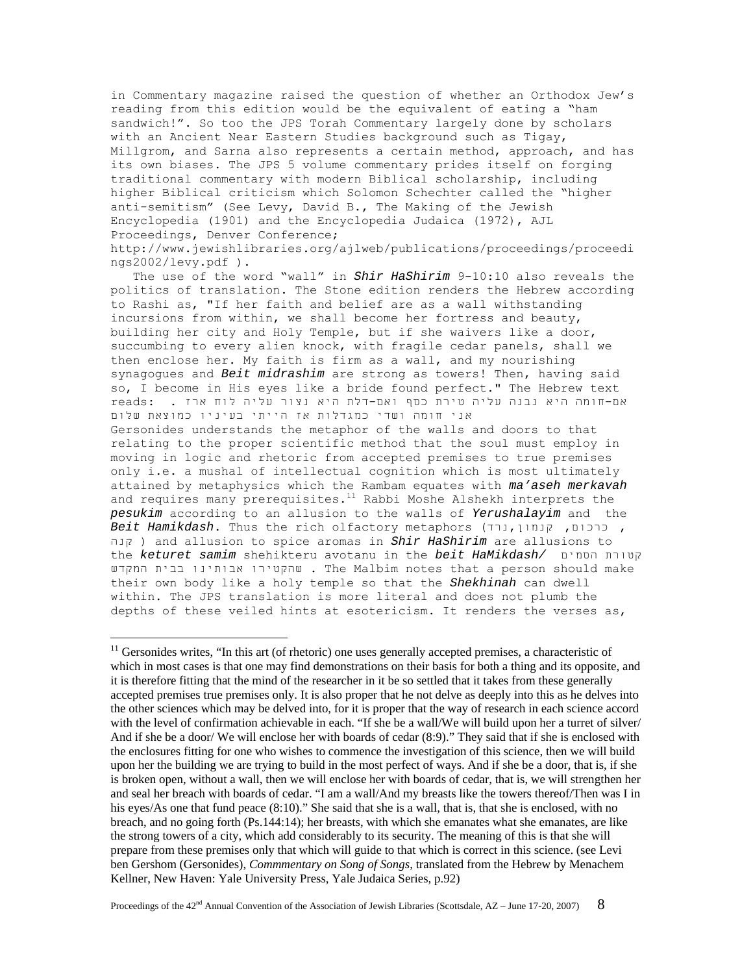in Commentary magazine raised the question of whether an Orthodox Jew's reading from this edition would be the equivalent of eating a "ham sandwich!". So too the JPS Torah Commentary largely done by scholars with an Ancient Near Eastern Studies background such as Tigay, Millgrom, and Sarna also represents a certain method, approach, and has its own biases. The JPS 5 volume commentary prides itself on forging traditional commentary with modern Biblical scholarship, including higher Biblical criticism which Solomon Schechter called the "higher anti-semitism" (See Levy, David B., The Making of the Jewish Encyclopedia (1901) and the Encyclopedia Judaica (1972), AJL Proceedings, Denver Conference; http://www.jewishlibraries.org/ajlweb/publications/proceedings/proceedi ngs2002/levy.pdf ).

 The use of the word "wall" in *Shir HaShirim* 9-10:10 also reveals the politics of translation. The Stone edition renders the Hebrew according to Rashi as, "If her faith and belief are as a wall withstanding incursions from within, we shall become her fortress and beauty, building her city and Holy Temple, but if she waivers like a door, succumbing to every alien knock, with fragile cedar panels, shall we then enclose her. My faith is firm as a wall, and my nourishing synagogues and *Beit midrashim* are strong as towers! Then, having said so, I become in His eyes like a bride found perfect." The Hebrew text אם-חומה היא נבנה עליה טירת כסף ואם-דלת היא נצור עליה לוח ארז . :reads אני חומה ושדי כמגדלות אז הייתי בעיניו כמוצאת שלום Gersonides understands the metaphor of the walls and doors to that relating to the proper scientific method that the soul must employ in moving in logic and rhetoric from accepted premises to true premises only i.e. a mushal of intellectual cognition which is most ultimately attained by metaphysics which the Rambam equates with *ma'aseh merkavah* and requires many prerequisites.<sup>11</sup> Rabbi Moshe Alshekh interprets the *pesukim* according to an allusion to the walls of *Yerushalayim* and the *Beit Hamikdash*. Thus the rich olfactory metaphors (נרד,קנמון ,כרכום , קנה ( and allusion to spice aromas in *Shir HaShirim* are allusions to the *keturet samim* shehikteru avotanu in the *beit HaMikdash/* הסמים קטורת המקדש בבית אבותינו שהקטירו . The Malbim notes that a person should make their own body like a holy temple so that the *Shekhinah* can dwell within. The JPS translation is more literal and does not plumb the depths of these veiled hints at esotericism. It renders the verses as,

 $11$  Gersonides writes, "In this art (of rhetoric) one uses generally accepted premises, a characteristic of which in most cases is that one may find demonstrations on their basis for both a thing and its opposite, and it is therefore fitting that the mind of the researcher in it be so settled that it takes from these generally accepted premises true premises only. It is also proper that he not delve as deeply into this as he delves into the other sciences which may be delved into, for it is proper that the way of research in each science accord with the level of confirmation achievable in each. "If she be a wall/We will build upon her a turret of silver/ And if she be a door/ We will enclose her with boards of cedar (8:9)." They said that if she is enclosed with the enclosures fitting for one who wishes to commence the investigation of this science, then we will build upon her the building we are trying to build in the most perfect of ways. And if she be a door, that is, if she is broken open, without a wall, then we will enclose her with boards of cedar, that is, we will strengthen her and seal her breach with boards of cedar. "I am a wall/And my breasts like the towers thereof/Then was I in his eyes/As one that fund peace (8:10)." She said that she is a wall, that is, that she is enclosed, with no breach, and no going forth (Ps.144:14); her breasts, with which she emanates what she emanates, are like the strong towers of a city, which add considerably to its security. The meaning of this is that she will prepare from these premises only that which will guide to that which is correct in this science. (see Levi ben Gershom (Gersonides), *Commmentary on Song of Songs*, translated from the Hebrew by Menachem Kellner, New Haven: Yale University Press, Yale Judaica Series, p.92)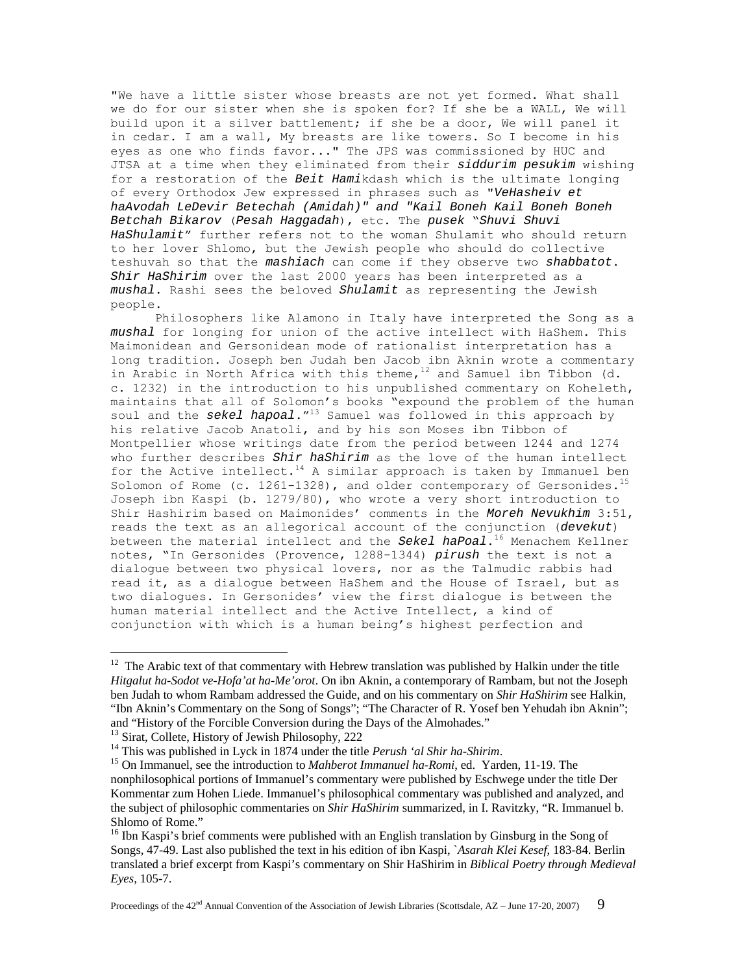"We have a little sister whose breasts are not yet formed. What shall we do for our sister when she is spoken for? If she be a WALL, We will build upon it a silver battlement; if she be a door, We will panel it in cedar. I am a wall, My breasts are like towers. So I become in his eyes as one who finds favor..." The JPS was commissioned by HUC and JTSA at a time when they eliminated from their *siddurim pesukim* wishing for a restoration of the *Beit Hami*kdash which is the ultimate longing of every Orthodox Jew expressed in phrases such as "*VeHasheiv et haAvodah LeDevir Betechah (Amidah)" and "Kail Boneh Kail Boneh Boneh Betchah Bikarov* (*Pesah Haggadah*), etc. The *pusek* "*Shuvi Shuvi HaShulamit*" further refers not to the woman Shulamit who should return to her lover Shlomo, but the Jewish people who should do collective teshuvah so that the *mashiach* can come if they observe two *shabbatot*. *Shir HaShirim* over the last 2000 years has been interpreted as a *mushal*. Rashi sees the beloved *Shulamit* as representing the Jewish people.

 Philosophers like Alamono in Italy have interpreted the Song as a *mushal* for longing for union of the active intellect with HaShem. This Maimonidean and Gersonidean mode of rationalist interpretation has a long tradition. Joseph ben Judah ben Jacob ibn Aknin wrote a commentary in Arabic in North Africa with this theme,  $12$  and Samuel ibn Tibbon (d. c. 1232) in the introduction to his unpublished commentary on Koheleth, maintains that all of Solomon's books "expound the problem of the human soul and the *sekel hapoal*."13 Samuel was followed in this approach by his relative Jacob Anatoli, and by his son Moses ibn Tibbon of Montpellier whose writings date from the period between 1244 and 1274 who further describes *Shir haShirim* as the love of the human intellect for the Active intellect.<sup>14</sup> A similar approach is taken by Immanuel ben Solomon of Rome (c.  $1261-1328$ ), and older contemporary of Gersonides.<sup>15</sup> Joseph ibn Kaspi (b. 1279/80), who wrote a very short introduction to Shir Hashirim based on Maimonides' comments in the *Moreh Nevukhim* 3:51, reads the text as an allegorical account of the conjunction (*devekut*) between the material intellect and the *Sekel haPoal*.16 Menachem Kellner notes, "In Gersonides (Provence, 1288-1344) *pirush* the text is not a dialogue between two physical lovers, nor as the Talmudic rabbis had read it, as a dialogue between HaShem and the House of Israel, but as two dialogues. In Gersonides' view the first dialogue is between the human material intellect and the Active Intellect, a kind of conjunction with which is a human being's highest perfection and

<sup>&</sup>lt;sup>12</sup> The Arabic text of that commentary with Hebrew translation was published by Halkin under the title *Hitgalut ha-Sodot ve-Hofa'at ha-Me'orot*. On ibn Aknin, a contemporary of Rambam, but not the Joseph ben Judah to whom Rambam addressed the Guide, and on his commentary on *Shir HaShirim* see Halkin, "Ibn Aknin's Commentary on the Song of Songs"; "The Character of R. Yosef ben Yehudah ibn Aknin"; and "History of the Forcible Conversion during the Days of the Almohades."

<sup>&</sup>lt;sup>13</sup> Sirat, Collete, History of Jewish Philosophy, 222<br><sup>14</sup> This was published in Lyck in 1874 under the title *Perush 'al Shir ha-Shirim*.

<sup>&</sup>lt;sup>15</sup> On Immanuel, see the introduction to *Mahberot Immanuel ha-Romi*, ed. Yarden, 11-19. The nonphilosophical portions of Immanuel's commentary were published by Eschwege under the title Der Kommentar zum Hohen Liede. Immanuel's philosophical commentary was published and analyzed, and the subject of philosophic commentaries on *Shir HaShirim* summarized, in I. Ravitzky, "R. Immanuel b. Shlomo of Rome."

<sup>&</sup>lt;sup>16</sup> Ibn Kaspi's brief comments were published with an English translation by Ginsburg in the Song of Songs, 47-49. Last also published the text in his edition of ibn Kaspi, `*Asarah Klei Kesef*, 183-84. Berlin translated a brief excerpt from Kaspi's commentary on Shir HaShirim in *Biblical Poetry through Medieval Eyes*, 105-7.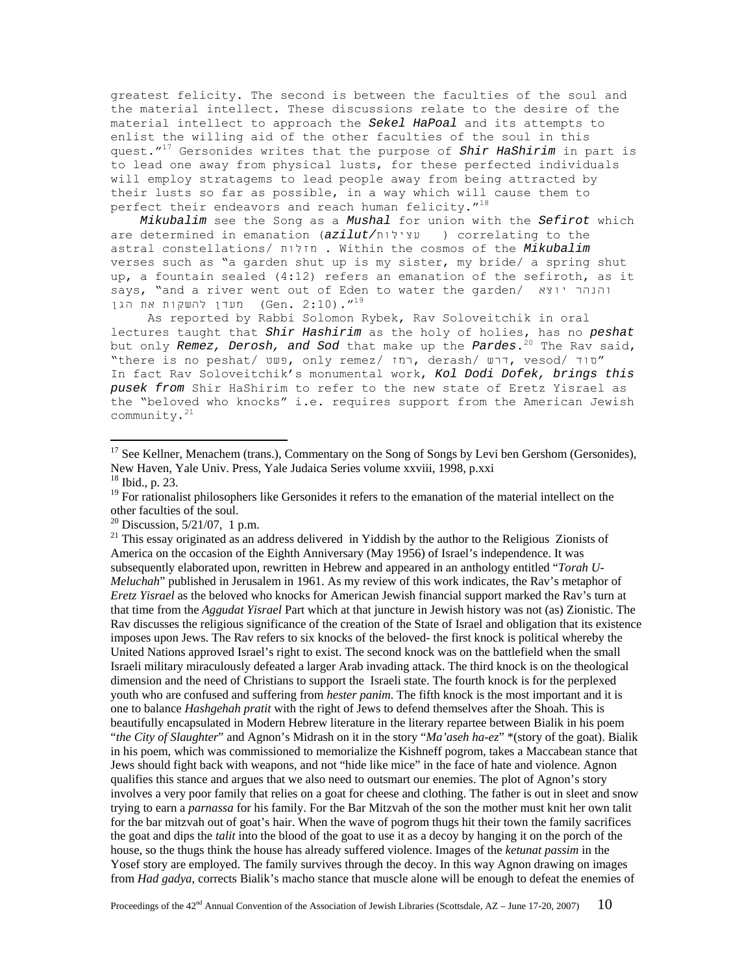greatest felicity. The second is between the faculties of the soul and the material intellect. These discussions relate to the desire of the material intellect to approach the *Sekel HaPoal* and its attempts to enlist the willing aid of the other faculties of the soul in this quest."17 Gersonides writes that the purpose of *Shir HaShirim* in part is to lead one away from physical lusts, for these perfected individuals will employ stratagems to lead people away from being attracted by their lusts so far as possible, in a way which will cause them to perfect their endeavors and reach human felicity.  $''^{18}$ 

 *Mikubalim* see the Song as a *Mushal* for union with the *Sefirot* which are determined in emanation (*azilut/*עצילות (correlating to the astral constellations/ מזלות . Within the cosmos of the *Mikubalim* verses such as "a garden shut up is my sister, my bride/ a spring shut up, a fountain sealed (4:12) refers an emanation of the sefiroth, as it says, "and a river went out of Eden to water the garden/ יוצא והנהר 19". (3:10) מעדן להשקות את הגן (Gen. 2:10)

 As reported by Rabbi Solomon Rybek, Rav Soloveitchik in oral lectures taught that *Shir Hashirim* as the holy of holies, has no *peshat* but only *Remez, Derosh, and Sod* that make up the *Pardes*.<sup>20</sup> The Rav said, "there is no peshat/  $U = 0$ , only remez/  $T = 0$ , derash/  $U = T$ , vesod/  $T = 0$ In fact Rav Soloveitchik's monumental work, *Kol Dodi Dofek, brings this pusek from* Shir HaShirim to refer to the new state of Eretz Yisrael as the "beloved who knocks" i.e. requires support from the American Jewish community.21

 $\overline{a}$ 

 $21$  This essay originated as an address delivered in Yiddish by the author to the Religious Zionists of America on the occasion of the Eighth Anniversary (May 1956) of Israel's independence. It was subsequently elaborated upon, rewritten in Hebrew and appeared in an anthology entitled "*Torah U-Meluchah*" published in Jerusalem in 1961. As my review of this work indicates, the Rav's metaphor of *Eretz Yisrael* as the beloved who knocks for American Jewish financial support marked the Rav's turn at that time from the *Aggudat Yisrael* Part which at that juncture in Jewish history was not (as) Zionistic. The Rav discusses the religious significance of the creation of the State of Israel and obligation that its existence imposes upon Jews. The Rav refers to six knocks of the beloved- the first knock is political whereby the United Nations approved Israel's right to exist. The second knock was on the battlefield when the small Israeli military miraculously defeated a larger Arab invading attack. The third knock is on the theological dimension and the need of Christians to support the Israeli state. The fourth knock is for the perplexed youth who are confused and suffering from *hester panim*. The fifth knock is the most important and it is one to balance *Hashgehah pratit* with the right of Jews to defend themselves after the Shoah. This is beautifully encapsulated in Modern Hebrew literature in the literary repartee between Bialik in his poem "*the City of Slaughter*" and Agnon's Midrash on it in the story "*Ma'aseh ha-ez*" \*(story of the goat). Bialik in his poem, which was commissioned to memorialize the Kishneff pogrom, takes a Maccabean stance that Jews should fight back with weapons, and not "hide like mice" in the face of hate and violence. Agnon qualifies this stance and argues that we also need to outsmart our enemies. The plot of Agnon's story involves a very poor family that relies on a goat for cheese and clothing. The father is out in sleet and snow trying to earn a *parnassa* for his family. For the Bar Mitzvah of the son the mother must knit her own talit for the bar mitzvah out of goat's hair. When the wave of pogrom thugs hit their town the family sacrifices the goat and dips the *talit* into the blood of the goat to use it as a decoy by hanging it on the porch of the house, so the thugs think the house has already suffered violence. Images of the *ketunat passim* in the Yosef story are employed. The family survives through the decoy. In this way Agnon drawing on images from *Had gadya*, corrects Bialik's macho stance that muscle alone will be enough to defeat the enemies of

<sup>&</sup>lt;sup>17</sup> See Kellner, Menachem (trans.), Commentary on the Song of Songs by Levi ben Gershom (Gersonides), New Haven, Yale Univ. Press, Yale Judaica Series volume xxviii, 1998, p.xxi

<sup>18</sup> Ibid., p. 23.

<sup>&</sup>lt;sup>19</sup> For rationalist philosophers like Gersonides it refers to the emanation of the material intellect on the other faculties of the soul.

 $^{20}$  Discussion, 5/21/07, 1 p.m.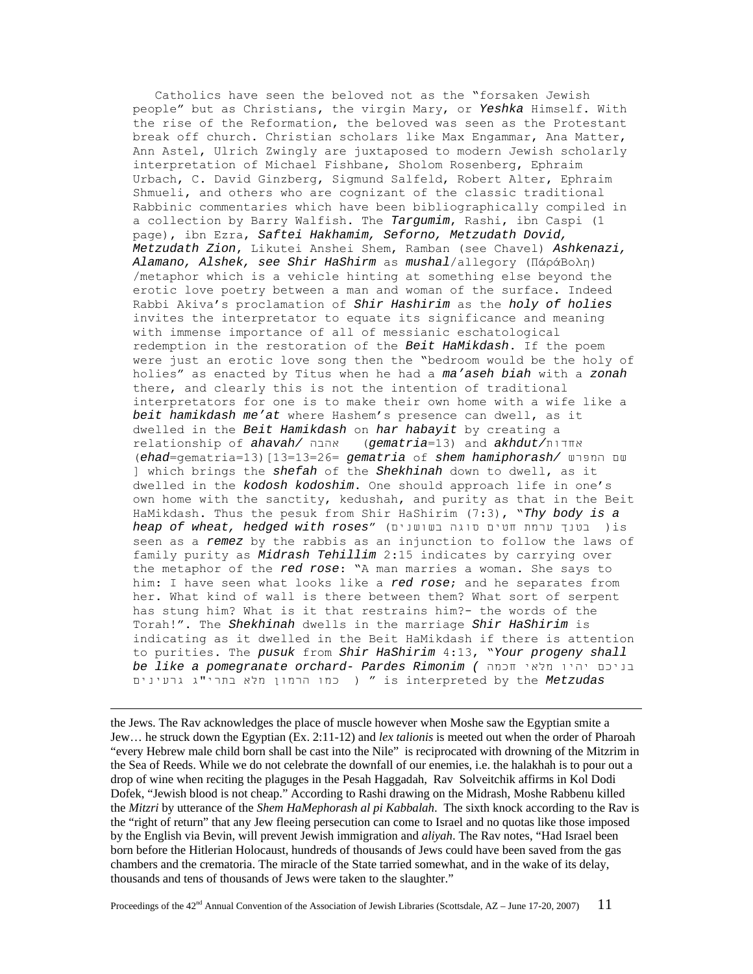Catholics have seen the beloved not as the "forsaken Jewish people" but as Christians, the virgin Mary, or *Yeshka* Himself. With the rise of the Reformation, the beloved was seen as the Protestant break off church. Christian scholars like Max Engammar, Ana Matter, Ann Astel, Ulrich Zwingly are juxtaposed to modern Jewish scholarly interpretation of Michael Fishbane, Sholom Rosenberg, Ephraim Urbach, C. David Ginzberg, Sigmund Salfeld, Robert Alter, Ephraim Shmueli, and others who are cognizant of the classic traditional Rabbinic commentaries which have been bibliographically compiled in a collection by Barry Walfish. The *Targumim*, Rashi, ibn Caspi (1 page), ibn Ezra, *Saftei Hakhamim, Seforno, Metzudath Dovid, Metzudath Zion*, Likutei Anshei Shem, Ramban (see Chavel) *Ashkenazi, Alamano, Alshek, see Shir HaShirm* as *mushal*/allegory (ΠάράВоλη) /metaphor which is a vehicle hinting at something else beyond the erotic love poetry between a man and woman of the surface. Indeed Rabbi Akiva's proclamation of *Shir Hashirim* as the *holy of holies* invites the interpretator to equate its significance and meaning with immense importance of all of messianic eschatological redemption in the restoration of the *Beit HaMikdash*. If the poem were just an erotic love song then the "bedroom would be the holy of holies" as enacted by Titus when he had a *ma'aseh biah* with a *zonah* there, and clearly this is not the intention of traditional interpretators for one is to make their own home with a wife like a *beit hamikdash me'at* where Hashem's presence can dwell, as it dwelled in the *Beit Hamikdash* on *har habayit* by creating a relationship of *ahavah/* אהבה) *gematria*=13) and *akhdut/*אחדות (*ehad*=gematria=13)[13=13=26= *gematria* of *shem hamiphorash/* המפרש שם ] which brings the *shefah* of the *Shekhinah* down to dwell, as it dwelled in the *kodosh kodoshim*. One should approach life in one's own home with the sanctity, kedushah, and purity as that in the Beit HaMikdash. Thus the pesuk from Shir HaShirim (7:3), "*Thy body is a heap of wheat, hedged with roses*" (בשושנים סוגה חטים ערמת בטנך( is seen as a *remez* by the rabbis as an injunction to follow the laws of family purity as *Midrash Tehillim* 2:15 indicates by carrying over the metaphor of the *red rose*: "A man marries a woman. She says to him: I have seen what looks like a *red rose*; and he separates from her. What kind of wall is there between them? What sort of serpent has stung him? What is it that restrains him?- the words of the Torah!". The *Shekhinah* dwells in the marriage *Shir HaShirim* is indicating as it dwelled in the Beit HaMikdash if there is attention to purities. The *pusuk* from *Shir HaShirim* 4:13, "*Your progeny shall be like a pomegranate orchard- Pardes Rimonim (* חכמה מלאי יהיו בניכם  *Metzudas* the by interpreted is) " כמו הרמון מלא בתרי"ג גרעינים

 the Jews. The Rav acknowledges the place of muscle however when Moshe saw the Egyptian smite a Jew… he struck down the Egyptian (Ex. 2:11-12) and *lex talionis* is meeted out when the order of Pharoah "every Hebrew male child born shall be cast into the Nile" is reciprocated with drowning of the Mitzrim in the Sea of Reeds. While we do not celebrate the downfall of our enemies, i.e. the halakhah is to pour out a drop of wine when reciting the plaguges in the Pesah Haggadah, Rav Solveitchik affirms in Kol Dodi Dofek, "Jewish blood is not cheap." According to Rashi drawing on the Midrash, Moshe Rabbenu killed the *Mitzri* by utterance of the *Shem HaMephorash al pi Kabbalah*. The sixth knock according to the Rav is the "right of return" that any Jew fleeing persecution can come to Israel and no quotas like those imposed by the English via Bevin, will prevent Jewish immigration and *aliyah*. The Rav notes, "Had Israel been born before the Hitlerian Holocaust, hundreds of thousands of Jews could have been saved from the gas chambers and the crematoria. The miracle of the State tarried somewhat, and in the wake of its delay, thousands and tens of thousands of Jews were taken to the slaughter."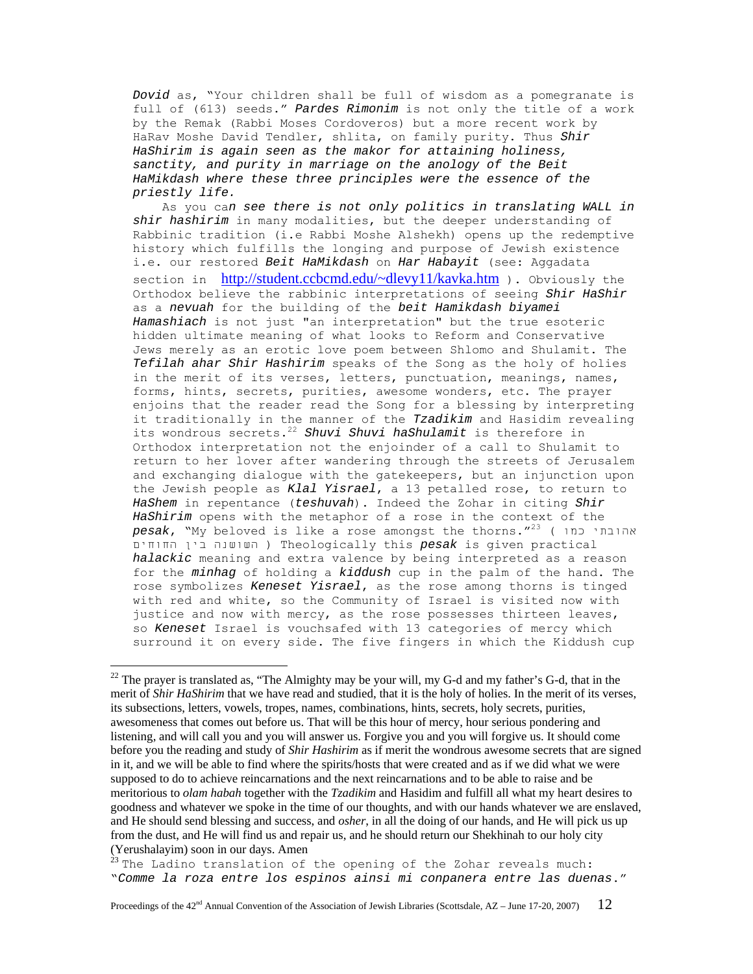*Dovid* as, "Your children shall be full of wisdom as a pomegranate is full of (613) seeds." *Pardes Rimonim* is not only the title of a work by the Remak (Rabbi Moses Cordoveros) but a more recent work by HaRav Moshe David Tendler, shlita, on family purity. Thus *Shir HaShirim is again seen as the makor for attaining holiness, sanctity, and purity in marriage on the anology of the Beit HaMikdash where these three principles were the essence of the priestly life.*

 As you ca*n see there is not only politics in translating WALL in shir hashirim* in many modalities, but the deeper understanding of Rabbinic tradition (i.e Rabbi Moshe Alshekh) opens up the redemptive history which fulfills the longing and purpose of Jewish existence i.e. our restored *Beit HaMikdash* on *Har Habayit* (see: Aggadata section in http://student.ccbcmd.edu/~dlevy11/kavka.htm ). Obviously the Orthodox believe the rabbinic interpretations of seeing *Shir HaShir* as a *nevuah* for the building of the *beit Hamikdash biyamei Hamashiach* is not just "an interpretation" but the true esoteric hidden ultimate meaning of what looks to Reform and Conservative Jews merely as an erotic love poem between Shlomo and Shulamit. The *Tefilah ahar Shir Hashirim* speaks of the Song as the holy of holies in the merit of its verses, letters, punctuation, meanings, names, forms, hints, secrets, purities, awesome wonders, etc. The prayer enjoins that the reader read the Song for a blessing by interpreting it traditionally in the manner of the *Tzadikim* and Hasidim revealing its wondrous secrets.<sup>22</sup> *Shuvi Shuvi haShulamit* is therefore in Orthodox interpretation not the enjoinder of a call to Shulamit to return to her lover after wandering through the streets of Jerusalem and exchanging dialogue with the gatekeepers, but an injunction upon the Jewish people as *Klal Yisrael*, a 13 petalled rose, to return to *HaShem* in repentance (*teshuvah*). Indeed the Zohar in citing *Shir HaShirim* opens with the metaphor of a rose in the context of the *pesak*, "My beloved is like a rose amongst the thorns."23 ( כמו אהובתי החוחים בין השושנה ( Theologically this *pesak* is given practical *halackic* meaning and extra valence by being interpreted as a reason for the *minhag* of holding a *kiddush* cup in the palm of the hand. The rose symbolizes *Keneset Yisrael*, as the rose among thorns is tinged with red and white, so the Community of Israel is visited now with justice and now with mercy, as the rose possesses thirteen leaves, so *Keneset* Israel is vouchsafed with 13 categories of mercy which surround it on every side. The five fingers in which the Kiddush cup

 $22$  The prayer is translated as, "The Almighty may be your will, my G-d and my father's G-d, that in the merit of *Shir HaShirim* that we have read and studied, that it is the holy of holies. In the merit of its verses, its subsections, letters, vowels, tropes, names, combinations, hints, secrets, holy secrets, purities, awesomeness that comes out before us. That will be this hour of mercy, hour serious pondering and listening, and will call you and you will answer us. Forgive you and you will forgive us. It should come before you the reading and study of *Shir Hashirim* as if merit the wondrous awesome secrets that are signed in it, and we will be able to find where the spirits/hosts that were created and as if we did what we were supposed to do to achieve reincarnations and the next reincarnations and to be able to raise and be meritorious to *olam habah* together with the *Tzadikim* and Hasidim and fulfill all what my heart desires to goodness and whatever we spoke in the time of our thoughts, and with our hands whatever we are enslaved, and He should send blessing and success, and *osher*, in all the doing of our hands, and He will pick us up from the dust, and He will find us and repair us, and he should return our Shekhinah to our holy city (Yerushalayim) soon in our days. Amen

<sup>&</sup>lt;sup>23</sup> The Ladino translation of the opening of the Zohar reveals much: "*Comme la roza entre los espinos ainsi mi conpanera entre las duenas*."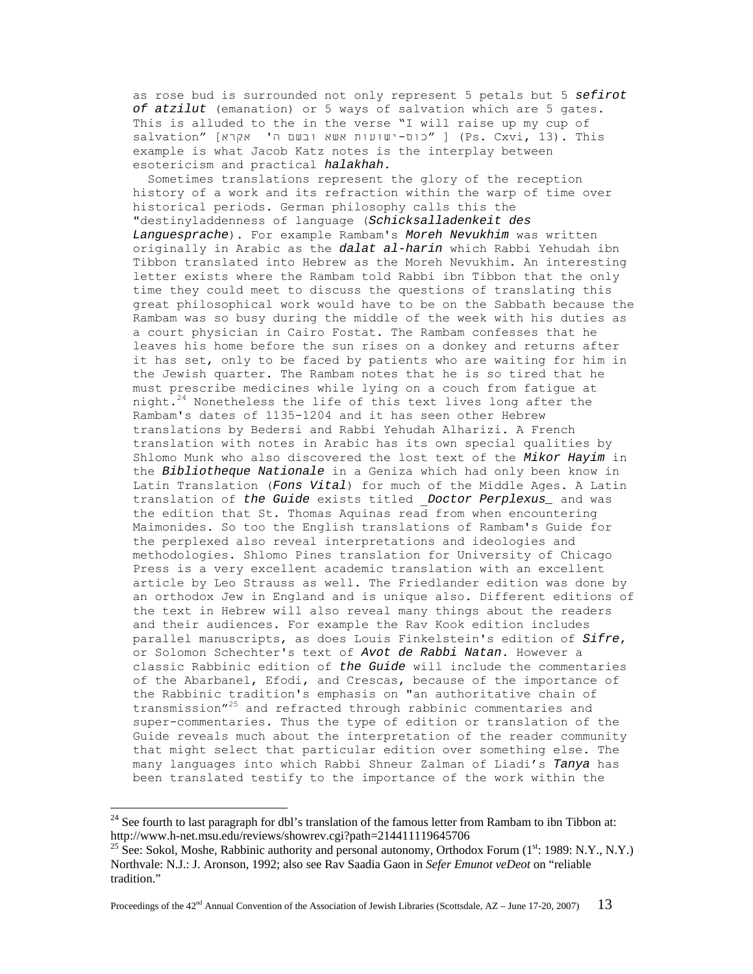as rose bud is surrounded not only represent 5 petals but 5 *sefirot of atzilut* (emanation) or 5 ways of salvation which are 5 gates. This is alluded to the in the verse "I will raise up my cup of  $s$ alvation" [כוס-ישועות אשא ובשם ה' אקרא] (Ps. Cxvi, 13). This example is what Jacob Katz notes is the interplay between esotericism and practical *halakhah*.

 Sometimes translations represent the glory of the reception history of a work and its refraction within the warp of time over historical periods. German philosophy calls this the "destinyladdenness of language (*Schicksalladenkeit des Languesprache*). For example Rambam's *Moreh Nevukhim* was written originally in Arabic as the *dalat al-harin* which Rabbi Yehudah ibn Tibbon translated into Hebrew as the Moreh Nevukhim. An interesting letter exists where the Rambam told Rabbi ibn Tibbon that the only time they could meet to discuss the questions of translating this great philosophical work would have to be on the Sabbath because the Rambam was so busy during the middle of the week with his duties as a court physician in Cairo Fostat. The Rambam confesses that he leaves his home before the sun rises on a donkey and returns after it has set, only to be faced by patients who are waiting for him in the Jewish quarter. The Rambam notes that he is so tired that he must prescribe medicines while lying on a couch from fatigue at night. $24$  Nonetheless the life of this text lives long after the Rambam's dates of 1135-1204 and it has seen other Hebrew translations by Bedersi and Rabbi Yehudah Alharizi. A French translation with notes in Arabic has its own special qualities by Shlomo Munk who also discovered the lost text of the *Mikor Hayim* in the *Bibliotheque Nationale* in a Geniza which had only been know in Latin Translation (*Fons Vital*) for much of the Middle Ages. A Latin translation of *the Guide* exists titled \_*Doctor Perplexus\_* and was the edition that St. Thomas Aquinas read from when encountering Maimonides. So too the English translations of Rambam's Guide for the perplexed also reveal interpretations and ideologies and methodologies. Shlomo Pines translation for University of Chicago Press is a very excellent academic translation with an excellent article by Leo Strauss as well. The Friedlander edition was done by an orthodox Jew in England and is unique also. Different editions of the text in Hebrew will also reveal many things about the readers and their audiences. For example the Rav Kook edition includes parallel manuscripts, as does Louis Finkelstein's edition of *Sifre*, or Solomon Schechter's text of *Avot de Rabbi Natan*. However a classic Rabbinic edition of *the Guide* will include the commentaries of the Abarbanel, Efodi, and Crescas, because of the importance of the Rabbinic tradition's emphasis on "an authoritative chain of transmission"25 and refracted through rabbinic commentaries and super-commentaries. Thus the type of edition or translation of the Guide reveals much about the interpretation of the reader community that might select that particular edition over something else. The many languages into which Rabbi Shneur Zalman of Liadi's *Tanya* has been translated testify to the importance of the work within the

<sup>&</sup>lt;sup>24</sup> See fourth to last paragraph for dbl's translation of the famous letter from Rambam to ibn Tibbon at: http://www.h-net.msu.edu/reviews/showrev.cgi?path=214411119645706<br><sup>25</sup> See: Sokol, Moshe, Rabbinic authority and personal autonomy, Orthodox Forum (1<sup>st</sup>: 1989: N.Y., N.Y.)

Northvale: N.J.: J. Aronson, 1992; also see Rav Saadia Gaon in *Sefer Emunot veDeot* on "reliable tradition."